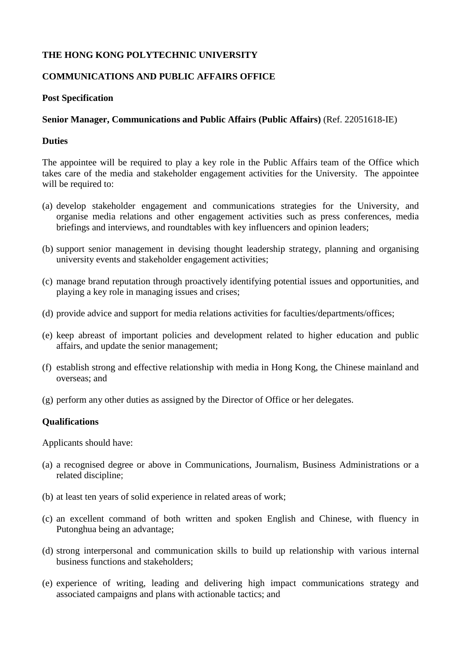# **THE HONG KONG POLYTECHNIC UNIVERSITY**

# **COMMUNICATIONS AND PUBLIC AFFAIRS OFFICE**

#### **Post Specification**

### **Senior Manager, Communications and Public Affairs (Public Affairs)** (Ref. 22051618-IE)

#### **Duties**

The appointee will be required to play a key role in the Public Affairs team of the Office which takes care of the media and stakeholder engagement activities for the University. The appointee will be required to:

- (a) develop stakeholder engagement and communications strategies for the University, and organise media relations and other engagement activities such as press conferences, media briefings and interviews, and roundtables with key influencers and opinion leaders;
- (b) support senior management in devising thought leadership strategy, planning and organising university events and stakeholder engagement activities;
- (c) manage brand reputation through proactively identifying potential issues and opportunities, and playing a key role in managing issues and crises;
- (d) provide advice and support for media relations activities for faculties/departments/offices;
- (e) keep abreast of important policies and development related to higher education and public affairs, and update the senior management;
- (f) establish strong and effective relationship with media in Hong Kong, the Chinese mainland and overseas; and
- (g) perform any other duties as assigned by the Director of Office or her delegates.

#### **Qualifications**

Applicants should have:

- (a) a recognised degree or above in Communications, Journalism, Business Administrations or a related discipline;
- (b) at least ten years of solid experience in related areas of work;
- (c) an excellent command of both written and spoken English and Chinese, with fluency in Putonghua being an advantage;
- (d) strong interpersonal and communication skills to build up relationship with various internal business functions and stakeholders;
- (e) experience of writing, leading and delivering high impact communications strategy and associated campaigns and plans with actionable tactics; and